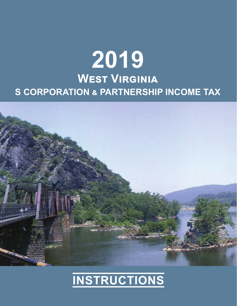# **2019**  $\overline{\text{West}}$  VIRGINIA **S CORPORATION ຺ PARTNERSHIP INCOME TAX**



# **INSTRUCTIONS**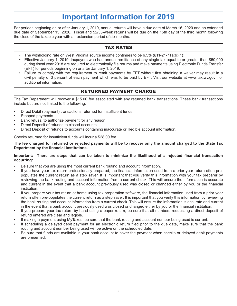# **Important Information for 2019**

For periods beginning on or after January 1, 2019, annual returns will have a due date of March 16, 2020 and an extended due date of September 15, 2020. Fiscal and 52/53-week returns will be due on the 15th day of the third month following the close of the taxable year with an extension period of six months.

# TAX RATES

- The withholding rate on West Virginia source income continues to be 6.5% (§11-21-71a(b)(1)).
- Effective January 1, 2019, taxpayers who had annual remittance of any single tax equal to or greater than \$50,000 during fiscal year 2018 are required to electronically file returns and make payments using Electronic Funds Transfer (EFT) for periods beginning on or after January 1, 2019.
- Failure to comply with the requirement to remit payments by EFT without first obtaining a waiver may result in a civil penalty of 3 percent of each payment which was to be paid by EFT. Visit our website at www.tax.wv.gov for additional information.

# RETURNED PAYMENT CHARGE

The Tax Department will recover a \$15.00 fee associated with any returned bank transactions. These bank transactions include but are not limited to the following:

- Direct Debit (payment) transactions returned for insufficient funds.
- Stopped payments.
- Bank refusal to authorize payment for any reason.
- Direct Deposit of refunds to closed accounts.
- Direct Deposit of refunds to accounts containing inaccurate or illegible account information.

Checks returned for insufficient funds will incur a \$28.00 fee.

#### **The fee charged for returned or rejected payments will be to recover only the amount charged to the State Tax Department by the financial institutions.**

#### Important: There are steps that can be taken to minimize the likelihood of a rejected financial transaction **occurring:**

- Be sure that you are using the most current bank routing and account information.
- If you have your tax return professionally prepared, the financial information used from a prior year return often prepopulates the current return as a step saver. It is important that you verify this information with your tax preparer by reviewing the bank routing and account information from a current check. This will ensure the information is accurate and current in the event that a bank account previously used was closed or changed either by you or the financial institution.
- If you prepare your tax return at home using tax preparation software, the financial information used from a prior year return often pre-populates the current return as a step saver. It is important that you verify this information by reviewing the bank routing and account information from a current check. This will ensure the information is accurate and current in the event that a bank account previously used was closed or changed either by you or the financial institution.
- If you prepare your tax return by hand using a paper return, be sure that all numbers requesting a direct deposit of refund entered are clear and legible.
- If making a payment using MyTaxes, be sure that the bank routing and account number being used is current.
- If scheduling a delayed debit payment for an electronic return filed prior to the due date, make sure that the bank routing and account number being used will be active on the scheduled date.
- Be sure that funds are available in your bank account to cover the payment when checks or delayed debit payments are presented.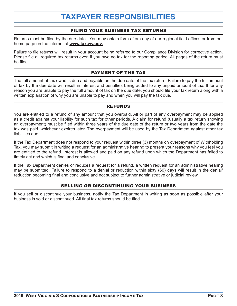# **TAXPAYER RESPONSIBILITIES**

### FILING YOUR BUSINESS TAX RETURNS

Returns must be filed by the due date. You may obtain forms from any of our regional field offices or from our home page on the internet at **www.tax.wv.gov.**

Failure to file returns will result in your account being referred to our Compliance Division for corrective action. Please file all required tax returns even if you owe no tax for the reporting period. All pages of the return must be filed.

### PAYMENT OF THE TAX

The full amount of tax owed is due and payable on the due date of the tax return. Failure to pay the full amount of tax by the due date will result in interest and penalties being added to any unpaid amount of tax. If for any reason you are unable to pay the full amount of tax on the due date, you should file your tax return along with a written explanation of why you are unable to pay and when you will pay the tax due.

#### REFUNDS

You are entitled to a refund of any amount that you overpaid. All or part of any overpayment may be applied as a credit against your liability for such tax for other periods. A claim for refund (usually a tax return showing an overpayment) must be filed within three years of the due date of the return or two years from the date the tax was paid, whichever expires later. The overpayment will be used by the Tax Department against other tax liabilities due.

If the Tax Department does not respond to your request within three (3) months on overpayment of Withholding Tax, you may submit in writing a request for an administrative hearing to present your reasons why you feel you are entitled to the refund. Interest is allowed and paid on any refund upon which the Department has failed to timely act and which is final and conclusive.

If the Tax Department denies or reduces a request for a refund, a written request for an administrative hearing may be submitted. Failure to respond to a denial or reduction within sixty (60) days will result in the denial/ reduction becoming final and conclusive and not subject to further administrative or judicial review.

# SELLING OR DISCONTINUING YOUR BUSINESS

If you sell or discontinue your business, notify the Tax Department in writing as soon as possible after your business is sold or discontinued. All final tax returns should be filed.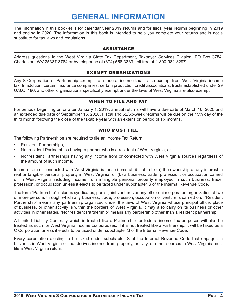# **GENERAL INFORMATION**

The information in this booklet is for calendar year 2019 returns and for fiscal year returns beginning in 2019 and ending in 2020. The information in this book is intended to help you complete your returns and is not a substitute for tax laws and regulations.

#### ASSISTANCE

Address questions to the West Virginia State Tax Department, Taxpayer Services Division, PO Box 3784, Charleston, WV 25337-3784 or by telephone at (304) 558-3333, toll free at 1-800-982-8297.

#### EXEMPT ORGANIZATIONS

Any S Corporation or Partnership exempt from federal income tax is also exempt from West Virginia income tax. In addition, certain insurance companies, certain production credit associations, trusts established under 29 U.S.C. 186, and other organizations specifically exempt under the laws of West Virginia are also exempt.

### WHEN TO FILE AND PAY

For periods beginning on or after January 1, 2019, annual returns will have a due date of March 16, 2020 and an extended due date of September 15, 2020. Fiscal and 52/53-week returns will be due on the 15th day of the third month following the close of the taxable year with an extension period of six months.

#### WHO MUST FILE

The following Partnerships are required to file an Income Tax Return:

- Resident Partnerships,
- Nonresident Partnerships having a partner who is a resident of West Virginia, or
- Nonresident Partnerships having any income from or connected with West Virginia sources regardless of the amount of such income.

Income from or connected with West Virginia is those items attributable to (a) the ownership of any interest in real or tangible personal property in West Virginia; or (b) a business, trade, profession, or occupation carried on in West Virginia including income from intangible personal property employed in such business, trade, profession, or occupation unless it elects to be taxed under subchapter S of the Internal Revenue Code.

The term "Partnership" includes syndicates, pools, joint ventures or any other unincorporated organization of two or more persons through which any business, trade, profession, occupation or venture is carried on. "Resident Partnership" means any partnership organized under the laws of West Virginia whose principal office, place of business, or other activity is within the borders of West Virginia. It may also carry on its business or other activities in other states. "Nonresident Partnership" means any partnership other than a resident partnership.

A Limited Liability Company which is treated like a Partnership for federal income tax purposes will also be treated as such for West Virginia income tax purposes. If it is not treated like a Partnership, it will be taxed as a C Corporation unless it elects to be taxed under subchapter S of the Internal Revenue Code.

Every corporation electing to be taxed under subchapter S of the Internal Revenue Code that engages in business in West Virginia or that derives income from property, activity, or other sources in West Virginia must file a West Virginia return.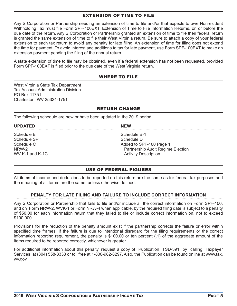#### EXTENSION OF TIME TO FILE

Any S Corporation or Partnership needing an extension of time to file and/or that expects to owe Nonresident Withholding Tax must file Form SPF-100EXT, Extension of Time to File Information Returns, on or before the due date of the return. Any S Corporation or Partnership granted an extension of time to file their federal return is granted the same extension of time to file their West Virginia return. Be sure to attach a copy of your federal extension to each tax return to avoid any penalty for late filing. An extension of time for filing does not extend the time for payment. To avoid interest and additions to tax for late payment, use Form SPF-100EXT to make an extension payment pending the filing of the annual return.

A state extension of time to file may be obtained, even if a federal extension has not been requested, provided Form SPF-100EXT is filed prior to the due date of the West Virginia return.

### WHERE TO FILE

West Virginia State Tax Department Tax Account Administration Division PO Box 11751 Charleston, WV 25324-1751

### RETURN CHANGE

**NEW** 

The following schedule are new or have been updated in the 2019 period:

#### **UPDATED**

Schedule B Schedule SP Schedule C NRW-2 WV K-1 and K-1C Schedule B-1 Schedule D Added to SPF-100 Page 1 Partnership Audit Regime Election Activity Description

#### USE OF FEDERAL FIGURES

All items of income and deductions to be reported on this return are the same as for federal tax purposes and the meaning of all terms are the same, unless otherwise defined.

#### **PENALTY FOR LATE FILING AND FAILURE TO INCLUDE CORRECT INFORMATION**

Any S Corporation or Partnership that fails to file and/or include all the correct information on Form SPF-100, and on Form NRW-2, WVK-1 or Form NRW-4 when applicable, by the required filing date is subject to a penalty of \$50.00 for each information return that they failed to file or include correct information on, not to exceed \$100,000.

Provisions for the reduction of the penalty amount exist if the partnership corrects the failure or error within specified time frames. If the failure is due to intentional disregard for the filing requirements or the correct information reporting requirement, the penalty is \$100.00 or ten percent (.1) of the aggregate amount of the items required to be reported correctly, whichever is greater.

For additional information about this penalty, request a copy of Publication TSD-391 by calling Taxpayer Services at (304) 558-3333 or toll free at 1-800-982-8297. Also, the Publication can be found online at www.tax. wv.gov.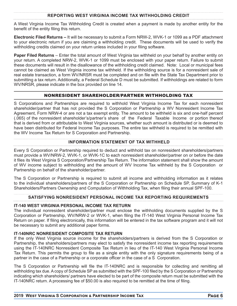#### **REPORTING WEST VIRGINIA INCOME TAX WITHHOLDING CREDIT**

A West Virginia Income Tax Withholding Credit is created when a payment is made by another entity for the benefit of the entity filing this return.

**Electronic Filed Returns –** It will be necessary to submit a Form NRW-2, WVK-1 or 1099 as a PDF attachment to your electronic return if you are claiming a withholding credit. These documents will be used to verify the withholding credits claimed on your return unless included in your filing software.

**Paper Filed Returns** – Enter the total amount of West Virginia tax withheld on your behalf by another entity on your return. A completed NRW-2, WVK-1 or 1099 must be enclosed with your paper return. Failure to submit these documents will result in the disallowance of the withholding credit claimed. Note: Local or municipal fees cannot be claimed as West Virginia income tax withheld. If the withholding source is for a nonresident sale of real estate transaction, a form WV/NRSR must be completed and on file with the State Tax Department prior to submitting a tax return. Additionally, a Federal Schedule D must be submitted. If withholdings are related to form WV/NRSR, please indicate in the box provided on line 14.

# NONRESIDENT SHAREHOLDER/PARTNER WITHHOLDING TAX

S Corporations and Partnerships are required to withhold West Virginia Income Tax for each nonresident shareholder/partner that has not provided the S Corporation or Partnership a WV Nonresident Income Tax Agreement, Form NRW-4 or are not a tax exempt entity. The amount to be withheld is six and one-half percent (.065) of the nonresident shareholder's/partner's share of the Federal Taxable Income or portion thereof that is derived from or attributable to West Virginia sources, whether such amount is distributed or is deemed to have been distributed for Federal Income Tax purposes. The entire tax withheld is required to be remitted with the WV Income Tax Return for S Corporation and Partnership.

# **INFORMATION STATEMENT OF TAX WITHHELD**

Every S Corporation or Partnership required to deduct and withhold tax on nonresident shareholders/partners must provide a WV/NRW-2, WVK-1, or WVK-1C to each nonresident shareholder/partner on or before the date it files its West Virginia S Corporation/Partnership Tax Return. The information statement shall show the amount of WV income subject to withholding and the amount of WV Income Tax withheld by the S Corporation or Partnership on behalf of the shareholder/partner.

The S Corporation or Partnership is required to submit all income and withholding information as it relates to the individual shareholders/partners of the S Corporation or Partnership on Schedule SP, Summary of K-1 Shareholders/Partners Ownership and Computation of Withholding Tax, when filing their annual SPF-100.

#### **SATISFYING NONRESIDENT PERSONAL INCOME TAX REPORTING REQUIREMENTS**

#### **IT-140 WEST VIRGINIA PERSONAL INCOME TAX RETURN**

The individual nonresident shareholder/partner must enclose the withholding documents supplied by the S Corporation or Partnership, WV/NRW-2 or WVK-1, when filing the IT-140 West Virginia Personal Income Tax Return on paper. If filing electronically, this information will be entered in the tax software program and it will not be necessary to submit any additional paper forms.

#### **IT-140NRC NONRESIDENT COMPOSITE TAX RETURN**

If the only West Virginia source income for the shareholders/partners is derived from the S Corporation or Partnership, the shareholders/partners may elect to satisfy the nonresident income tax reporting requirements using the IT-140NRC Nonresident Composite Tax Return in lieu of the IT-140 West Virginia Personal Income Tax Return. This permits the group to file as a single entity with the only signature requirements being of a partner in the case of a Partnership or a corporate officer in the case of a S Corporation.

The S Corporation or Partnership will file the IT-140NRC and is responsible for collecting and remitting all withholding tax due. A copy of Schedule SP as submitted with the SPF-100 filed by the S Corporation or Partnership indicating which shareholders/ partners have elected to be part of the composite return must be submitted with the IT-140NRC return. A processing fee of \$50.00 is also required to be remitted at the time of filing.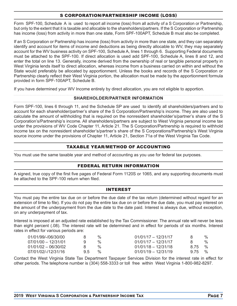# S CORPORATION/PARTNERSHIP INCOME (LOSS)

Form SPF-100, Schedule A is used to report all income (loss) from all activity of a S Corporation or Partnership, but only to the extent that it is taxable and allocable to the shareholders/partners. If the S Corporation or Partnership has income (loss) from activity in more than one state, Form SPF-100APT, Schedule B must also be completed.

If an S Corporation or Partnership has income (loss) from activity in more than one state, and they can separately identify and account for items of income and deductions as being directly allocable to WV, they may separately account for the WV business activity on SPF-100, Schedule A, lines 1 through 6. Supporting Federal documents must be attached to the SPF-100. If direct allocation is used add SPF-100, Schedule A, lines 8 and 12, and enter the total on line 13. Generally, income derived from the ownership of real or tangible personal property in West Virginia lends itself to direct allocation, whereas income from a business carried on within and without the State would preferably be allocated by apportionment. Unless the books and records of the S Corporation or Partnership clearly reflect their West Virginia portion, the allocation must be made by the apportionment formula provided in form SPF-100APT, Schedule B.

If you have determined your WV Income entirely by direct allocation, you are not eligible to apportion.

### **SHAREHOLDER/PARTNER INFORMATION**

Form SPF-100, lines 6 through 11, and the Schedule SP are used to identify all shareholders/partners and to account for each shareholder/partner's share of the S Corporation/Partnership's income. They are also used to calculate the amount of withholding that is required on the nonresident shareholder's/partner's share of the S Corporation's/Partnership's income. All shareholders/partners are subject to West Virginia personal income tax under the provisions of WV Code Chapter 11, Article 21. The S Corporation/Partnership is required to withhold income tax on the nonresident shareholder's/partner's share of the S Corporations/Partnership's West Virginia source income under the provisions of Chapter 11, Article 21, Section 71a of the West Virginia Tax Code.

# TAXABLE YEAR/METHOD OF ACCOUNTING

You must use the same taxable year and method of accounting as you use for federal tax purposes.

# FEDERAL RETURN INFORMATION

A signed, true copy of the first five pages of Federal Form 1120S or 1065, and any supporting documents must be attached to the SPF-100 return when filed.

#### INTEREST

You must pay the entire tax due on or before the due date of the tax return (determined without regard for an extension of time to file). If you do not pay the entire tax due on or before the due date, you must pay interest on the amount of the underpayment from the due date to the date paid. Interest is always due, without exception, on any underpayment of tax.

Interest is imposed at an adjusted rate established by the Tax Commissioner. The annual rate will never be less than eight percent (.08). The interest rate will be determined and in effect for periods of six months. Interest rates in effect for various periods are:

| 01/01/99/-/06/30/00   |    | $\%$          | $01/01/17 - 12/31/17$ | x          | $\%$          |
|-----------------------|----|---------------|-----------------------|------------|---------------|
| $07/01/00 - 12/31/01$ |    | $\%$          | $01/01/17 - 12/31/17$ |            | $\frac{0}{6}$ |
| $01/01/02 - 06/30/02$ |    | $\%$          | $01/01/18 - 12/31/18$ | 8.75 %     |               |
| 07/01/02/-/12/31/16   | 95 | $\frac{0}{0}$ | $01/01/19 - 12/31/19$ | $9.75 \t%$ |               |

Contact the West Virginia State Tax Department Taxpayer Services Division for the interest rate in effect for other periods. The telephone number is (304) 558-3333 or toll free within West Virginia 1-800-982-8297.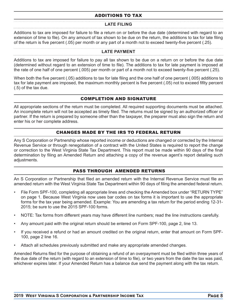# ADDITIONS TO TAX

# **LATE FILING**

Additions to tax are imposed for failure to file a return on or before the due date (determined with regard to an extension of time to file). On any amount of tax shown to be due on the return, the additions to tax for late filing of the return is five percent (.05) per month or any part of a month not to exceed twenty-five percent (.25).

#### **LATE PAYMENT**

Additions to tax are imposed for failure to pay all tax shown to be due on a return on or before the due date (determined without regard to an extension of time to file). The additions to tax for late payment is imposed at the rate of one half of one percent (.005) per month or part of a month not to exceed twenty-five percent (.25).

When both the five percent (.05) additions to tax for late filing and the one half of one percent (.005) additions to tax for late payment are imposed, the maximum monthly percent is five percent (.05) not to exceed fifity percent (.5) of the tax due.

# COMPLETION AND SIGNATURE

All appropriate sections of the return must be completed. All required supporting documents must be attached. An incomplete return will not be accepted as timely filed. The returns must be signed by an authorized officer or partner. If the return is prepared by someone other than the taxpayer, the preparer must also sign the return and enter his or her complete address.

# CHANGES MADE BY THE IRS TO FEDERAL RETURN

Any S Corporation or Partnership whose reported income or deductions are changed or corrected by the Internal Revenue Service or through renegotiation of a contract with the United States is required to report the change or correction to the West Virginia State Tax Department. This report must be made within 90 days of the final determination by filing an Amended Return and attaching a copy of the revenue agent's report detailing such adiustments.

# PASS THROUGH AMENDED RETURNS

An S Corporation or Partnership that filed an amended return with the Internal Revenue Service must file an amended return with the West Virginia State Tax Department within 90 days of filing the amended federal return.

- File Form SPF-100, completing all appropriate lines and checking the Amended box under "RETURN TYPE" on page 1. Because West Virginia now uses bar codes on tax forms it is important to use the appropriate forms for the tax year being amended. Example: You are amending a tax return for the period ending 12-31- 2015; be sure to use the 2015 SPF-100 forms.
- NOTE: Tax forms from different years may have different line numbers; read the line instructions carefully.
- Any amount paid with the original return should be entered on Form SPF-100, page 2, line 13.
- If you received a refund or had an amount credited on the original return, enter that amount on Form SPF-100, page 2 line 16.
- Attach all schedules previously submitted and make any appropriate amended changes.

Amended Returns filed for the purpose of obtaining a refund of an overpayment must be filed within three years of the due date of the return (with regard to an extension of time to file), or two years from the date the tax was paid, whichever expires later. If your Amended Return has a balance due send the payment along with the tax return.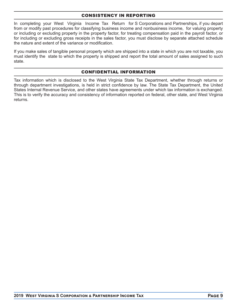### CONSISTENCY IN REPORTING

In completing your West Virginia Income Tax Return for S Corporations and Partnerships, if you depart from or modify past procedures for classifying business income and nonbusiness income, for valuing property or including or excluding property in the property factor, for treating compensation paid in the payroll factor, or for including or excluding gross receipts in the sales factor, you must disclose by separate attached schedule the nature and extent of the variance or modification.

If you make sales of tangible personal property which are shipped into a state in which you are not taxable, you must identify the state to which the property is shipped and report the total amount of sales assigned to such state.

# CONFIDENTIAL INFORMATION

Tax information which is disclosed to the West Virginia State Tax Department, whether through returns or through department investigations, is held in strict confidence by law. The State Tax Department, the United States Internal Revenue Service, and other states have agreements under which tax information is exchanged. This is to verify the accuracy and consistency of information reported on federal, other state, and West Virginia returns.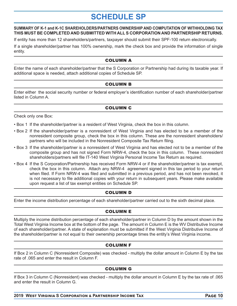# **SCHEDULE SP**

#### **SUMMARY OF K-1 and K-1C SHAREHOLDERS/PARTNERS OWNERSHIP AND COMPUTATION OF WITHHOLDING TAX THIS MUST BE COMPLETED AND SUBMITTED WITH ALL S CORPORATION AND PARTNERSHIP RETURNS.**

If entity has more than 12 shareholders/partners, taxpayer should submit their SPF-100 return electronically.

If a single shareholder/partner has 100% ownership, mark the check box and provide the information of single entity.

# COLUMN A

Enter the name of each shareholder/partner that the S Corporation or Partnership had during its taxable year. If additional space is needed, attach additional copies of Schedule SP.

# COLUMN B

Enter either the social security number or federal employer's identification number of each shareholder/partner listed in Column A.

# COLUMN C

Check only one Box:

- Box 1 If the shareholder/partner is a resident of West Virginia, check the box in this column.
- Box 2 If the shareholder/partner is a nonresident of West Virginia and has elected to be a member of the nonresident composite group, check the box in this column. These are the nonresident shareholders/ partners who will be included in the Nonresident Composite Tax Return filing.
- Box 3 If the shareholder/partner is a nonresident of West Virginia and has elected not to be a member of the composite group and has not signed Form NRW-4, check the box in this column. These nonresident shareholders/partners will file IT-140 West Virginia Personal Income Tax Return as required.
- Box 4 If the S Corporation/Partnership has received Form NRW-4 or if the shareholder/partner is tax exempt, check the box in this column. Attach any NRW-4 agreement signed in this tax period to your return when filed. If Form NRW-4 was filed and submitted in a previous period, and has not been revoked, it is not necessary to file additional copies with your return in subsequent years. Please make available upon request a list of tax exempt entities on Schedule SP.

# COLUMN D

Enter the income distribution percentage of each shareholder/partner carried out to the sixth decimal place.

# COLUMN E

Multiply the income distribution percentage of each shareholder/partner in Column D by the amount shown in the Total West Virginia Income box at the bottom of the page. The amount in Column E is the WV Distributive Income of each shareholder/partner. A state of explanation must be submitted if the West Virginia Distributive Income of the shareholder/partner is not equal to their ownership percentage times the entity's West Virginia income.

# COLUMN F

If Box 2 in Column C (Nonresident Composite) was checked - multiply the dollar amount in Column E by the tax rate of .065 and enter the result in Column F.

# COLUMN G

If Box 3 in Column C (Nonresident) was checked - multiply the dollar amount in Column E by the tax rate of .065 and enter the result in Column G.

 $\blacksquare$  2019 West Virginia S Corporation & Partnership Income Tax **Algebra** 2019 Page 10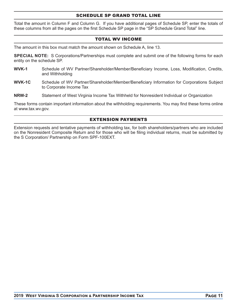#### SCHEDULE SP GRAND TOTAL LINE

Total the amount in Column F and Column G. If you have additional pages of Schedule SP, enter the totals of these columns from all the pages on the first Schedule SP page in the "SP Schedule Grand Total" line.

### TOTAL WV INCOME

The amount in this box must match the amount shown on Schedule A, line 13.

**SPECIAL NOTE:** S Corporations/Partnerships must complete and submit one of the following forms for each entity on the schedule SP.

- **WVK-1** Schedule of WV Partner/Shareholder/Member/Beneficiary Income, Loss, Modification, Credits, and Withholding
- **WVK-1C** Schedule of WV Partner/Shareholder/Member/Beneficiary Information for Corporations Subject to Corporate Income Tax
- **NRW-2** Statement of West Virginia Income Tax Withheld for Nonresident Individual or Organization

These forms contain important information about the withholding requirements. You may find these forms online at www.tax.wv.gov.

### EXTENSION PAYMENTS

Extension requests and tentative payments of withholding tax, for both shareholders/partners who are included on the Nonresident Composite Return and for those who will be fi ling individual returns, must be submitted by the S Corporation/ Partnership on Form SPF-100EXT.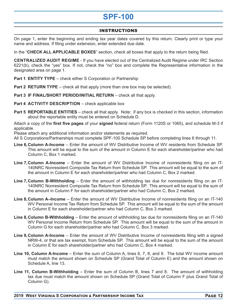# **SPF-100**

# INSTRUCTIONS

On page 1, enter the beginning and ending tax year dates covered by this return. Clearly print or type your name and address. If filing under extension, enter extended due date.

In the "**CHECK ALL APPLICABLE BOXES**" section, check all boxes that apply to the return being filed.

**CENTRALIZED AUDIT REGIME** - If you have elected out of the Centralized Audit Regime under IRC Section 6221(b), check the "yes" box. If not, check the "no" box and complete the Representative information in the designated area on page 1.

- **Part 1 ENTITY TYPE** check either S Corporation or Partnership
- **Part 2 RETURN TYPE** check all that apply (more than one box may be selected).
- **Part 3 IF FINAL/SHORT PERIOD/INITIAL RETURN** check all that apply.
- **Part 4 ACTIVITY DESCRIPTION** check applicable box
- **Part 5 REPORTABLE ENTITIES** check all that apply. Note: if any box is checked in this section, information about the reportable entity must be entered on Schedule D.

Attach a copy of the **first five pages** of your **signed** federal return (Form 1120S or 1065), and schedule M-3 if applicable.

Please attach any additional information and/or statements as required.

All S Corporations/Partnerships must complete SPF-100 Schedule SP before completing lines 6 through 11.

- **Line 6, Column A-Income** Enter the amount of WV Distributive Income of WV residents from Schedule SP. This amount will be equal to the sum of the amount in Column E for each shareholder/partner who had Column C, Box 1 marked.
- **Line 7, Column A-Income** Enter the amount of WV Distributive Income of nonresidents filing on an IT-140NRC Nonresident Composite Tax Return from Schedule SP. This amount will be equal to the sum of the amount in Column E for each shareholder/partner who had Column C, Box 2 marked.
- **Line 7, Column B-Withholding** Enter the amount of withholding tax due for nonresidents filing on an IT-140NRC Nonresident Composite Tax Return from Schedule SP. This amount will be equal to the sum of the amount in Column F for each shareholder/partner who had Column C, Box 2 marked.
- **Line 8, Column A–Income** Enter the amount of WV Distributive Income of nonresidents filing on an IT-140 WV Personal Income Tax Return from Schedule SP. This amount will be equal to the sum of the amount in Column E for each shareholder/partner who had Column C, Box 3 marked.
- **Line 8, Column B-Withholding** Enter the amount of withholding tax due for nonresidents filing on an IT-140 WV Personal Income Return from Schedule SP. This amount will be equal to the sum of the amount in Column G for each shareholder/partner who had Column C, Box 3 marked.
- **Line 9, Column A-Income** Enter the amount of WV Distributive Income of nonresidents filing with a signed NRW-4, or that are tax exempt, from Schedule SP. This amount will be equal to the sum of the amount in Column E for each shareholder/partner who had Column C, Box 4 marked.
- **Line 10, Column A-Income**  Enter the sum of Column A, lines 6, 7, 8, and 9. The total WV income amount must match the amount shown on Schedule SP (Grand Total of Column E) and the amount shown on Schedule A, line 13.
- **Line 11, Column B-Withholding**  Enter the sum of Column B, lines 7 and 8. The amount of withholding tax due must match the amount shown on Schedule SP (Grand Total of Column F plus Grand Total of Column G).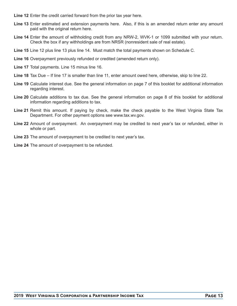- **Line 12** Enter the credit carried forward from the prior tax year here.
- **Line 13** Enter estimated and extension payments here. Also, if this is an amended return enter any amount paid with the original return here.
- **Line 14** Enter the amount of withholding credit from any NRW-2, WVK-1 or 1099 submitted with your return. Check the box if any withholdings are from NRSR (nonresident sale of real estate).
- **Line 15** Line 12 plus line 13 plus line 14. Must match the total payments shown on Schedule C.
- **Line 16** Overpayment previously refunded or credited (amended return only).
- **Line 17** Total payments. Line 15 minus line 16.
- **Line 18** Tax Due If line 17 is smaller than line 11, enter amount owed here, otherwise, skip to line 22.
- **Line 19** Calculate interest due. See the general information on page 7 of this booklet for additional information regarding interest.
- **Line 20** Calculate additions to tax due. See the general information on page 8 of this booklet for additional information regarding additions to tax.
- **Line 21** Remit this amount. If paying by check, make the check payable to the West Virginia State Tax Department. For other payment options see www.tax.wv.gov.
- **Line 22** Amount of overpayment. An overpayment may be credited to next year's tax or refunded, either in whole or part.
- **Line 23** The amount of overpayment to be credited to next year's tax.
- **Line 24** The amount of overpayment to be refunded.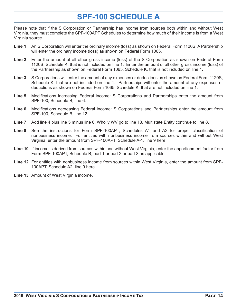# **SPF-100 SCHEDULE A**

Please note that if the S Corporation or Partnership has income from sources both within and without West Virginia, they must complete the SPF-100APT Schedules to determine how much of their income is from a West Virginia source.

- **Line 1** An S Corporation will enter the ordinary income (loss) as shown on Federal Form 1120S. A Partnership will enter the ordinary income (loss) as shown on Federal Form 1065.
- **Line 2** Enter the amount of all other gross income (loss) of the S Corporation as shown on Federal Form 1120S, Schedule K, that is not included on line 1. Enter the amount of all other gross income (loss) of the Partnership as shown on Federal Form 1065, Schedule K, that is not included on line 1.
- **Line 3** S Corporations will enter the amount of any expenses or deductions as shown on Federal Form 1120S, Schedule K, that are not included on line 1. Partnerships will enter the amount of any expenses or deductions as shown on Federal Form 1065, Schedule K, that are not included on line 1.
- Line 5 Modifications increasing Federal income: S Corporations and Partnerships enter the amount from SPF-100, Schedule B, line 6.
- **Line 6** Modifications decreasing Federal income: S Corporations and Partnerships enter the amount from SPF-100, Schedule B, line 12.
- **Line 7** Add line 4 plus line 5 minus line 6. Wholly WV go to line 13. Multistate Entity continue to line 8.
- **Line 8** See the instructions for Form SPF-100APT, Schedules A1 and A2 for proper classification of nonbusiness income. For entities with nonbusiness income from sources within and without West Virginia, enter the amount from SPF-100APT, Schedule A-1, line 9 here.
- **Line 10** If income is derived from sources within and without West Virginia, enter the apportionment factor from Form SPF-100APT, Schedule B, part 1 or part 2 or part 3 as applicable.
- **Line 12** For entities with nonbusiness income from sources within West Virginia, enter the amount from SPF-100APT, Schedule A2, line 9 here.
- **Line 13** Amount of West Virginia income.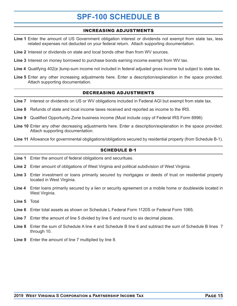# **SPF-100 SCHEDULE B**

# INCREASING ADJUSTMENTS

- **Line 1** Enter the amount of US Government obligation interest or dividends not exempt from state tax, less related expenses not deducted on your federal return. Attach supporting documentation.
- **Line 2** Interest or dividends on state and local bonds other than from WV sources.
- **Line 3** Interest on money borrowed to purchase bonds earning income exempt from WV tax.
- **Line 4** Qualifying 402(e )lump-sum income not included in federal adjusted gross income but subject to state tax.
- **Line 5** Enter any other increasing adjustments here. Enter a description/explanation in the space provided. Attach supporting documentation.

# DECREASING ADJUSTMENTS

- **Line 7** Interest or dividends on US or WV obligations included in Federal AGI but exempt from state tax.
- **Line 8** Refunds of state and local income taxes received and reported as income to the IRS.
- **Line 9** Qualified Opportunity Zone business income (Must include copy of Federal IRS Form 8996)
- **Line 10** Enter any other decreasing adjustments here. Enter a description/explanation in the space provided. Attach supporting documentation.
- **Line 11** Allowance for governmental obgligations/obligations secured by residential property (from Schedule B-1).

#### SCHEDULE B-1

- **Line 1** Enter the amount of federal obligations and securitues.
- **Line 2** Enter amount of obligations of West Virginia and political subdivision of West Virginia.
- **Line 3** Enter investment or loans primarily secured by mortgages or deeds of trust on residential property located in West Virginia.
- **Line 4** Enter loans primarily secured by a lien or security agreement on a mobile home or doublewide located in West Virginia.
- **Line 5** Total
- **Line 6** Enter total assets as shown on Schedule L Federal Form 1120S or Federal Form 1065.
- **Line 7** Enter tthe amount of line 5 divided by line 6 and round to six decimal places.
- **Line 8** Enter the sum of Schedule A line 4 and Schedule B line 6 and subtract the sum of Schedule B lines 7 through 10.
- **Line 9** Enter the amount of line 7 multiplied by line 8.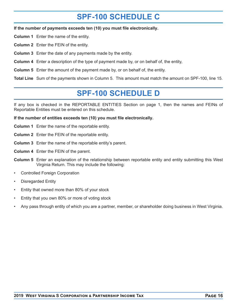# **SPF-100 SCHEDULE C**

**If the number of payments exceeds ten (10) you must file electronically.** 

**Column 1** Enter the name of the entity.

**Column 2** Enter the FEIN of the entity.

**Column 3** Enter the date of any payments made by the entity.

**Column 4** Enter a description of the type of payment made by, or on behalf of, the entity,

**Column 5** Enter the amount of the payment made by, or on behalf of, the entity.

**Total Line** Sum of the payments shown in Column 5. This amount must match the amount on SPF-100, line 15.

# **SPF-100 SCHEDULE D**

If any box is checked in the REPORTABLE ENTITIES Section on page 1, then the names and FEINs of Reportable Entities must be entered on this schedule.

**If the number of entities exceeds ten (10) you must file electronically.** 

- **Column 1** Enter the name of the reportable entity.
- **Column 2** Enter the FEIN of the reportable entity.
- **Column 3** Enter the name of the reportable entity's parent.
- **Column 4** Enter the FEIN of the parent.
- **Column 5** Enter an explanation of the relationship between reportable entity and entity submitting this West Virginia Return. This may include the following:
- Controlled Foreign Corporation
- Disregarded Entity
- Entity that owned more than 80% of your stock
- Entity that you own 80% or more of voting stock
- Any pass through entity of which you are a partner, member, or shareholder doing business in West Virginia.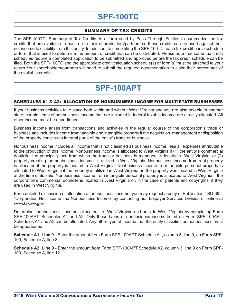# **SPF-100TC**

# SUMMARY OF TAX CREDITS

The SPF-100TC, Summary of Tax Credits, is a form used by Pass Through Entities to summarize the tax credits that are available to pass on to their shareholders/partners so these credits can be used against their net income tax liability from this entity. In addition, to completing the SPF-100TC, each tax credit has a schedule or form that is used to determine the amount of credit that can be distributed. Please note that some tax credit schedules require a completed application to be submitted and approved before the tax credit schedule can be filed. Both the SPF-100TC and the appropriate credit calcuation schedule(s) or form(s) must be attached to your return Your shareholders/partners will need to submit the required documentation to claim their percentage of the available credits.

# **SPF-100APT**

# SCHEDULES A1 & A2: ALLOCATION OF NONBUSINESS INCOME FOR MULTISTATE BUSINESSES

If your business activities take place both within and without West Virginia and you are also taxable in another state, certain items of nonbusiness income that are included in federal taxable income are directly allocated. All other income must be apportioned.

Business income arises from transactions and activities in the regular course of the corporation's trade or business and includes income from tangible and intangible property if the acquisition, management or disposition of the property constitutes integral parts of the entity's trade or business.

Nonbusiness income includes all income that is not classified as business income, less all expenses attributable to the production of this income. Nonbusiness income is allocated to West Virginia if (1) the entity's commercial domicile, the principal place from which the trade or business is managed, is located in West Virginia, or (2) property creating the nonbusiness income is utilized in West Virginia. Nonbusiness income from real property is allocated if the property is located in West Virginia. Nonbusiness income from tangible personal property is allocated to West Virginia if the property is utilized in West Virginia or the property was located in West Virginia at the time of its sale. Nonbusiness income from intangible personal property is allocated to West Virginia if the corporation's commercial domicile is located in West Virginia or, in the case of patents and copyrights, if they are used in West Virginia.

For a detailed discussion of allocation of nonbusiness income, you may request a copy of Publication TSD-392, "Corporation Net Income Tax Nonbusiness Income" by contacting our Taxpayer Services Division or online at www.tax.wv.gov.

Determine nonbusiness income allocated to West Virginia and outside West Virginia by completing Form SPF-100APT, Schedules A1 and A2. Only those types of nonbusiness income listed on Form SPF-100APT, Schedules A1 and A2 can be allocated. Any other type of income that the entity classifies as nonbusiness must be apportioned.

**Schedule A1, Line 9** - Enter the amount from Form SPF-100APT Schedule A1, column 3, line 9, on Form SPF-100, Schedule A, line 8.

**Schedule A2, Line 9** - Enter the amount from Form SPF-100APT Schedule A2, column 3, line 9 on Form SPF-100, Schedule A, line 12.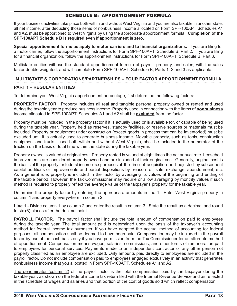### SCHEDULE B: APPORTIONMENT FORMULA

If your business activities take place both within and without West Virginia and you are also taxable in another state, all net income, after deducting those items of nonbusiness income allocated on Form SPF-100APT Schedules A1 and A2, must be apportioned to West Virginia by using the appropriate apportionment formula. **Completion of the SPF-100APT Schedule B is required even if apportionment is zero.**

**Special apportionment formulas apply to motor carriers and to financial organizations.** If you are filing for a motor carrier, follow the apportionment instructions for Form SPF-100APT, Schedule B, Part 2. If you are filing for a financial organization, follow the apportionment instructions for Form SPF-100APT. Schedule B. Part 3.

Multistate entities will use the standard apportionment formula of payroll, property, and sales, with the sales factor double weighted, and will complete Form SPF-100APT, Schedule B, Parts 1, 2 and 3 as applicable.

### **MULTISTATE S CORPORATIONS/PARTNERSHIPS – FOUR FACTOR APPORTIONMENT FORMULA**

#### **PART 1 – REGULAR ENTITIES**

To determine your West Virginia apportionment percentage, first determine the following factors:

**PROPERTY FACTOR.** Property includes all real and tangible personal property owned or rented and used during the taxable year to produce business income. Property used in connection with the items of **nonbusiness**  income allocated in SPF-100APT, Schedules A1 and A2 shall be **excluded** from the factor.

Property must be included in the property factor if it is actually used or is available for, or capable of being used during the taxable year. Property held as reserves, standby facilities, or reserve sources or materials must be included. Property or equipment under construction (except goods in process that can be inventoried) must be excluded until it is actually used to generate business income. Movable property, such as tools, construction equipment and trucks, used both within and without West Virginia, shall be included in the numerator of the fraction on the basis of total time within the state during the taxable year.

Property owned is valued at original cost. Property rented is valued at eight times the net annual rate. Leasehold improvements are considered property owned and are included at their original cost. Generally, original cost is the basis of the property for federal income tax purposes at the time of acquisition and adjusted by subsequent capital additions or improvements and partial dispositions by reason of sale, exchange, abandonment, etc. As a general rule, property is included in the factor by averaging its values at the beginning and ending of the taxable period. However, the Tax Commissioner may require or allow averaging by monthly values if such method is required to properly reflect the average value of the taxpayer's property for the taxable year.

Determine the property factor by entering the appropriate amounts in line 1. Enter West Virginia property in column 1 and property everywhere in column 2.

**Line 1** - Divide column 1 by column 2 and enter the result in column 3. State the result as a decimal and round to six (6) places after the decimal point.

**PAYROLL FACTOR.** The payroll factor shall include the total amount of compensation paid to employees during the taxable year. The total amount paid is determined upon the basis of the taxpayer's accounting method for federal income tax purposes. If you have adopted the accrual method of accounting for federal purposes, all compensation shall be deemed to have been paid. Compensation may be included in the payroll factor by use of the cash basis only if you have permission from the Tax Commissioner for an alternate method of apportionment. Compensation means wages, salaries, commissions, and other forms of remuneration paid to employees for personal services. Payments made to an independent contractor or any other person not properly classified as an employee are excluded. Only amounts paid directly to employees are included in the payroll factor. Do not include compensation paid to employees engaged exclusively in an activity that generates nonbusiness income that you allocated in Form SPF-100APT, Schedules A1 and A2.

The denominator (column 2) of the payroll factor is the total compensation paid by the taxpayer during the taxable year, as shown on the federal income tax return filed with the Internal Revenue Service and as reflected in the schedule of wages and salaries and that portion of the cost of goods sold which reflect compensation.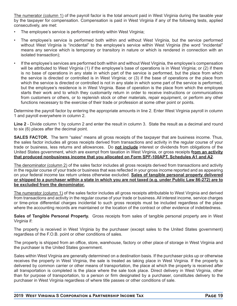The numerator (column 1) of the payroll factor is the total amount paid in West Virginia during the taxable year by the taxpayer for compensation. Compensation is paid in West Virginia if any of the following tests, applied consecutively, are met:

- The employee's service is performed entirely within West Virginia;
- The employee's service is performed both within and without West Virginia, but the service performed without West Virginia is "incidental" to the employee's service within West Virginia (the word "incidental" means any service which is temporary or transitory in nature or which is rendered in connection with an isolated transaction);
- If the employee's services are performed both within and without West Virginia, the employee's compensation will be attributed to West Virginia (1) if the employee's base of operations is in West Virginia; or (2) if there is no base of operations in any state in which part of the service is performed, but the place from which the service is directed or controlled is in West Virginia; or (3) if the base of operations or the place from which the service is directed or controlled is not in any state in which some part of the service is performed, but the employee's residence is in West Virginia. Base of operation is the place from which the employee starts their work and to which they customarily return in order to receive instructions or communications from customers or others, or to replenish stock or other materials, repair equipment, or perform any other functions necessary to the exercise of their trade or profession at some other point or points.

Determine the payroll factor by entering the appropriate amounts in line 2. Enter West Virginia payroll in column 1 and payroll everywhere in column 2.

**Line 2** - Divide column 1 by column 2 and enter the result in column 3. State the result as a decimal and round to six (6) places after the decimal point.

**SALES FACTOR.** The term "sales" means all gross receipts of the taxpayer that are business income. Thus, the sales factor includes all gross receipts derived from transactions and activity in the regular course of your trade or business, less returns and allowances. Do **not include** interest or dividends from obligations of the United States government, which are exempt from taxation in West Virginia, or gross receipts **from an activity that produced nonbusiness income that you allocated on Form SPF-100APT, Schedules A1 and A2**.

The denominator (column 2) of the sales factor includes all gross receipts derived from transactions and activity in the regular course of your trade or business that was reflected in your gross income reported and as appearing on your federal income tax return unless otherwise excluded. **Sales of tangible personal property delivered or shipped to a purchaser within a state in which you are not taxed (e.g. under Public Law 86-272) are to be excluded from the denominator.**

The numerator (column 1) of the sales factor includes all gross receipts attributable to West Virginia and derived from transactions and activity in the regular course of your trade or business. All interest income, service charges or time-price differential charges incidental to such gross receipts must be included regardless of the place where the accounting records are maintained or the location of the contract or other evidence of indebtedness.

**Sales of Tangible Personal Property.** Gross receipts from sales of tangible personal property are in West Virginia if:

The property is received in West Virginia by the purchaser (except sales to the United States government) regardless of the F.O.B. point or other conditions of sales.

The property is shipped from an office, store, warehouse, factory or other place of storage in West Virginia and the purchaser is the United States government.

Sales within West Virginia are generally determined on a destination basis. If the purchaser picks up or otherwise receives the property in West Virginia, the sale is treated as taking place in West Virginia. If the property is delivered by common carrier or other means of transportation, the place at which the property is received after all transportation is completed is the place where the sale took place. Direct delivery in West Virginia, other than for purpose of transportation, to a person or firm designated by a purchaser, constitutes delivery to the purchaser in West Virginia regardless of where title passes or other conditions of sale.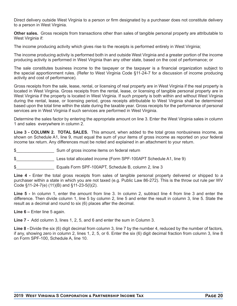Direct delivery outside West Virginia to a person or firm designated by a purchaser does not constitute delivery to a person in West Virginia.

**Other sales.** Gross receipts from transactions other than sales of tangible personal property are attributable to West Virginia if:

The income producing activity which gives rise to the receipts is performed entirely in West Virginia;

The income producing activity is performed both in and outside West Virginia and a greater portion of the income producing activity is performed in West Virginia than any other state, based on the cost of performance; or

The sale constitutes business income to the taxpayer or the taxpayer is a financial organization subject to the special apportionment rules. (Refer to West Virginia Code §11-24-7 for a discussion of income producing activity and cost of performance).

Gross receipts from the sale, lease, rental, or licensing of real property are in West Virginia if the real property is located in West Virginia. Gross receipts from the rental, lease, or licensing of tangible personal property are in West Virginia if the property is located in West Virginia. If such property is both within and without West Virginia during the rental, lease, or licensing period, gross receipts attributable to West Virginia shall be determined based upon the total time within the state during the taxable year. Gross receipts for the performance of personal services are in West Virginia if such services are performed in West Virginia.

Determine the sales factor by entering the appropriate amount on line 3. Enter the West Virginia sales in column 1 and sales everywhere in column 2.

**Line 3 - COLUMN 2. TOTAL SALES.** This amount, when added to the total gross nonbusiness income, as shown on Schedule A1, line 9, must equal the sum of your items of gross income as reported on your federal income tax return. Any differences must be noted and explained in an attachment to your return.

- \$ Sum of gross income items on federal return
- \$\_\_\_\_\_\_\_\_\_\_\_\_\_\_\_\_ Less total allocated income (Form SPF-100APT Schedule A1, line 9)
- \$<br>
Equals Form SPF-100APT, Schedule B, column 2, line 3

**Line 4 -** Enter the total gross receipts from sales of tangible personal property delivered or shipped to a purchaser within a state in which you are not taxed (e.g. Public Law 86-272). This is the throw out rule per WV Code §11-24-7(e) (11)(B) and §11-23-5(l)(2).

**Line 5 -** In column 1, enter the amount from line 3. In column 2, subtract line 4 from line 3 and enter the difference. Then divide column 1, line 5 by column 2, line 5 and enter the result in column 3, line 5. State the result as a decimal and round to six (6) places after the decimal.

**Line 6 –** Enter line 5 again.

**Line 7 -** Add column 3, lines 1, 2, 5, and 6 and enter the sum in Column 3.

**Line 8 -** Divide the six (6) digit decimal from column 3, line 7 by the number 4, reduced by the number of factors, if any, showing zero in column 2, lines 1, 2, 5, or 6. Enter the six (6) digit decimal fraction from column 3, line 8 on Form SPF-100, Schedule A, line 10.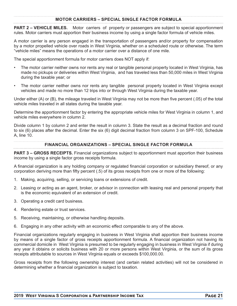# **MOTOR CARRIERS – SPECIAL SINGLE FACTOR FORMULA**

**PART 2 – VEHICLE MILES.** Motor carriers of property or passengers are subject to special apportionment rules. Motor carriers must apportion their business income by using a single factor formula of vehicle miles.

A motor carrier is any person engaged in the transportation of passengers and/or property for compensation by a motor propelled vehicle over roads in West Virginia, whether on a scheduled route or otherwise. The term "vehicle miles" means the operations of a motor carrier over a distance of one mile.

The special apportionment formula for motor carriers does NOT apply if:

- The motor carrier neither owns nor rents any real or tangible personal property located in West Virginia, has made no pickups or deliveries within West Virginia, and has traveled less than 50,000 miles in West Virginia during the taxable year; or
- The motor carrier neither owns nor rents any tangible personal property located in West Virginia except vehicles and made no more than 12 trips into or through West Virginia during the taxable year.

Under either (A) or (B), the mileage traveled in West Virginia may not be more than five percent (.05) of the total vehicle miles traveled in all states during the taxable year.

Determine the apportionment factor by entering the appropriate vehicle miles for West Virginia in column 1, and vehicle miles everywhere in column 2.

Divide column 1 by column 2 and enter the result in column 3. State the result as a decimal fraction and round to six (6) places after the decimal. Enter the six (6) digit decimal fraction from column 3 on SPF-100, Schedule A, line 10.

#### **FINANCIAL ORGANIZATIONS – SPECIAL SINGLE FACTOR FORMULA**

**PART 3 – GROSS RECEIPTS.** Financial organizations subject to apportionment must apportion their business income by using a single factor gross receipts formula.

A financial organization is any holding company or regulated financial corporation or subsidiary thereof, or any corporation deriving more than fifty percent (.5) of its gross receipts from one or more of the following:

- 1. Making, acquiring, selling, or servicing loans or extensions of credit.
- 2. Leasing or acting as an agent, broker, or advisor in connection with leasing real and personal property that is the economic equivalent of an extension of credit.
- 3. Operating a credit card business.
- 4. Rendering estate or trust services.
- 5. Receiving, maintaining, or otherwise handling deposits.
- 6. Engaging in any other activity with an economic effect comparable to any of the above.

Financial organizations regularly engaging in business in West Virginia shall apportion their business income by means of a single factor of gross receipts apportionment formula. A financial organization not having its commercial domicile in West Virginia is presumed to be regularly engaging in business in West Virginia if during any year it obtains or solicits business with 20 or more persons within West Virginia, or the sum of its gross receipts attributable to sources in West Virginia equals or exceeds \$100,000.00.

Gross receipts from the following ownership interest (and certain related activities) will not be considered in determining whether a financial organization is subject to taxation.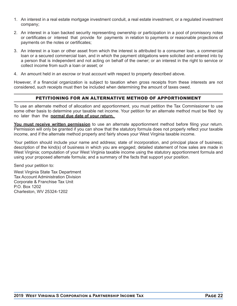- 1. An interest in a real estate mortgage investment conduit, a real estate investment, or a regulated investment company;
- 2. An interest in a loan backed security representing ownership or participation in a pool of promissory notes or certificates or interest that provide for payments in relation to payments or reasonable projections of payments on the notes or certificates;
- 3. An interest in a loan or other asset from which the interest is attributed to a consumer loan, a commercial loan or a secured commercial loan, and in which the payment obligations were solicited and entered into by a person that is independent and not acting on behalf of the owner; or an interest in the right to service or collect income from such a loan or asset; or
- 4. An amount held in an escrow or trust account with respect to property described above.

However, if a financial organization is subject to taxation when gross receipts from these interests are not considered, such receipts must then be included when determining the amount of taxes owed.

# PETITIONING FOR AN ALTERNATIVE METHOD OF APPORTIONMENT

To use an alternate method of allocation and apportionment, you must petition the Tax Commissioner to use some other basis to determine your taxable net income. Your petition for an alternate method must be filed by no later than the **normal due date of your return.** 

**You must receive written permission** to use an alternate apportionment method before filing your return. Permission will only be granted if you can show that the statutory formula does not properly reflect your taxable income, and if the alternate method properly and fairly shows your West Virginia taxable income.

Your petition should include your name and address; state of incorporation, and principal place of business; description of the kind(s) of business in which you are engaged; detailed statement of how sales are made in West Virginia; computation of your West Virginia taxable income using the statutory apportionment formula and using your proposed alternate formula; and a summary of the facts that support your position.

Send your petition to:

West Virginia State Tax Department Tax Account Administration Division Corporate & Franchise Tax Unit P.O. Box 1202 Charleston, WV 25324-1202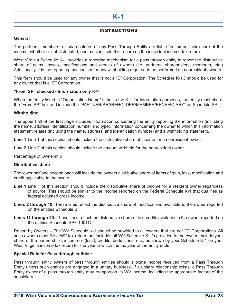# **K-1**

# INSTRUCTIONS

#### **General**

The partners, members, or shareholders of any Pass Through Entity are liable for tax on their share of the income, whether or not distributed, and must include their share on the individual income tax return.

West Virginia Schedule K-1 provides a reporting mechanism for a pass through entity to report the distributive share of gains, losses, modifications and credits of owners (i.e. partners, shareholders, members, etc.) Additionally, it is the reporting mechanism for any withholding required to be performed on nonresident owners.

This form should be used for any owner that is not a "C" Corporation. The Schedule K-1C should be used for any owner that is a "C" Corporation.

#### **"From SP" checked - Information only K-1**

When the entity listed in "Organization Name" submits the K-1 for information purposes, the entity must check the "From SP" box and include the "PARTNER/SHAREHOLDER/MEMBER/BENEFICIARY" on Schedule SP.

#### **Withholding**

The upper half of the first page includes information concerning the entity reporting the information (including the name, address, identification number and type), information concerning the owner to which this information statement relates (including the name, address, and identification number) and a withholding statement.

**Line 1** Line 1 of this section should include the distributive share of income for a nonresident owner.

**Line 2** Line 2 of this section should include the amount withheld for the nonresident owner.

Percentage of Ownership

#### **Distributive share**

The lower half and second page will include the owners distributive share of items of gain, loss, modification and credit applicable to the owner.

- **Line 1** Line 1 of this section should include the distributive share of income for a resident owner regardless of source. This should be similar to the income reported on the Federal Schedule K-1 that qualifies as federal adjusted gross income.
- **Lines 2 through 10:** These lines reflect the distributive share of modifications available to the owner reported on the entities Schedule B.
- **Lines 11 through 20:** These lines reflect the distributive share of tax credits available to the owner reported on the entities Schedule SPF-100TC.

Report by Owners – The WV Schedule K-1 should be provided to all owners that are not "C" Corporations. All such owners must file a WV tax return that includes all WV Schedule K-1's provided to the owner. Include your share of the partnership's income or (loss), credits, deductions, etc., as shown by your Schedule K-1 on your West Virginia income tax return for the year in which the tax year of the entity ends.

#### **Special Rule for Pass through entities:**

Pass through entity owners of pass through entities should allocate income received from a Pass Through Entity unless such entities are engaged in a unitary business. If a unitary relationship exists, a Pass Through Entity owner of a pass through entity may reapportion its WV income, including the appropriate factors of the subsidiary.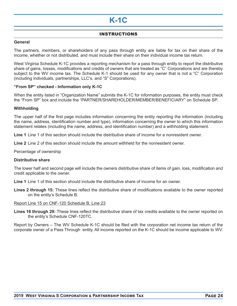# **K-1C**

# INSTRUCTIONS

#### **General**

The partners, members, or shareholders of any pass through entity are liable for tax on their share of the income, whether or not distributed, and must include their share on their individual income tax return.

West Virginia Schedule K-1C provides a reporting mechanism for a pass through entity to report the distributive share of gains, losses, modifications and credits of owners that are treated as "C" Corporations and are thereby subject to the WV income tax. The Schedule K-1 should be used for any owner that is not a "C" Corporation (including individuals, partnerships, LLC's, and "S" Corporations).

#### **"From SP" checked - Information only K-1C**

When the entity listed in "Organization Name" submits the K-1C for information purposes, the entity must check the "From SP" box and include the "PARTNER/SHAREHOLDER/MEMBER/BENEFICIARY" on Schedule SP.

#### **Withholding**

The upper half of the first page includes information concerning the entity reporting the information (including the name, address, identification number and type), information concerning the owner to which this information statement relates (including the name, address, and identification number) and a withholding statement.

**Line 1** Line 1 of this section should include the distributive share of income for a nonresident owner.

**Line 2** Line 2 of this section should include the amount withheld for the nonresident owner.

Percentage of ownership

#### **Distributive share**

The lower half and second page will include the owners distributive share of items of gain, loss, modification and credit applicable to the owner.

**Line 1** Line 1 of this section should include the distributive share of income for an owner.

**Lines 2 through 15:** These lines reflect the distributive share of modifications available to the owner reported on the entity's Schedule B.

Report Line 15 on CNF-120 Schedule B, Line 23

**Lines 16 through 29:** These lines reflect the distributive share of tax credits available to the owner reported on the entity's Schedule CNF-120TC.

Report by Owners – The WV Schedule K-1C should be filed with the corporation net income tax return of the corporate owner of a Pass Through entity. All income reported on the K-1C should be income applicable to WV.